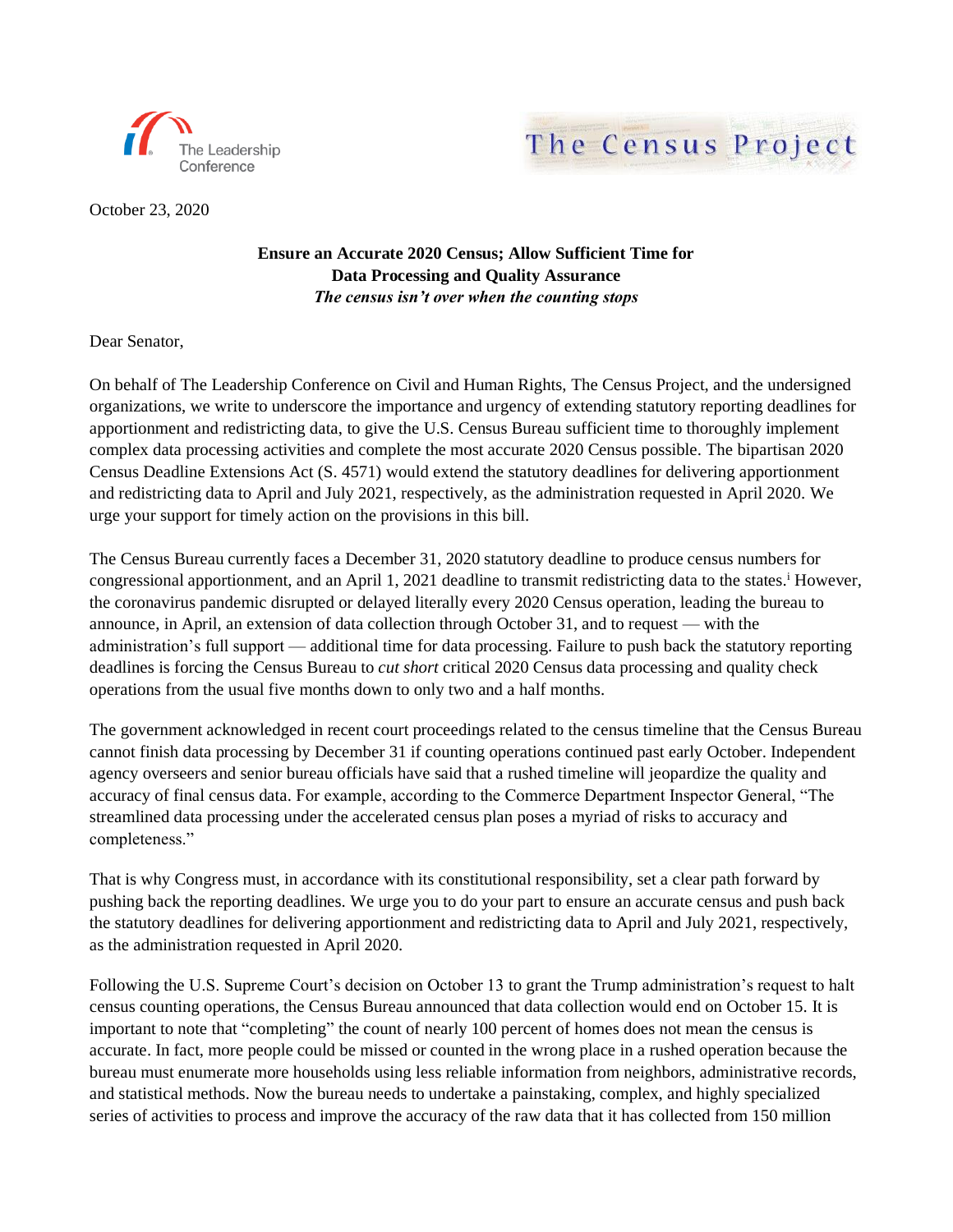



October 23, 2020

## **Ensure an Accurate 2020 Census; Allow Sufficient Time for Data Processing and Quality Assurance** *The census isn't over when the counting stops*

Dear Senator,

On behalf of The Leadership Conference on Civil and Human Rights, The Census Project, and the undersigned organizations, we write to underscore the importance and urgency of extending statutory reporting deadlines for apportionment and redistricting data, to give the U.S. Census Bureau sufficient time to thoroughly implement complex data processing activities and complete the most accurate 2020 Census possible. The bipartisan 2020 Census Deadline Extensions Act (S. 4571) would extend the statutory deadlines for delivering apportionment and redistricting data to April and July 2021, respectively, as the administration requested in April 2020. We urge your support for timely action on the provisions in this bill.

The Census Bureau currently faces a December 31, 2020 statutory deadline to produce census numbers for congressional apportionment, and an April 1, 2021 deadline to transmit redistricting data to the states.<sup>i</sup> However, the coronavirus pandemic disrupted or delayed literally every 2020 Census operation, leading the bureau to announce, in April, an extension of data collection through October 31, and to request — with the administration's full support — additional time for data processing. Failure to push back the statutory reporting deadlines is forcing the Census Bureau to *cut short* critical 2020 Census data processing and quality check operations from the usual five months down to only two and a half months.

The government acknowledged in recent court proceedings related to the census timeline that the Census Bureau cannot finish data processing by December 31 if counting operations continued past early October. Independent agency overseers and senior bureau officials have said that a rushed timeline will jeopardize the quality and accuracy of final census data. For example, according to the Commerce Department Inspector General, "The streamlined data processing under the accelerated census plan poses a myriad of risks to accuracy and completeness."

That is why Congress must, in accordance with its constitutional responsibility, set a clear path forward by pushing back the reporting deadlines. We urge you to do your part to ensure an accurate census and push back the statutory deadlines for delivering apportionment and redistricting data to April and July 2021, respectively, as the administration requested in April 2020.

Following the U.S. Supreme Court's decision on October 13 to grant the Trump administration's request to halt census counting operations, the Census Bureau announced that data collection would end on October 15. It is important to note that "completing" the count of nearly 100 percent of homes does not mean the census is accurate. In fact, more people could be missed or counted in the wrong place in a rushed operation because the bureau must enumerate more households using less reliable information from neighbors, administrative records, and statistical methods. Now the bureau needs to undertake a painstaking, complex, and highly specialized series of activities to process and improve the accuracy of the raw data that it has collected from 150 million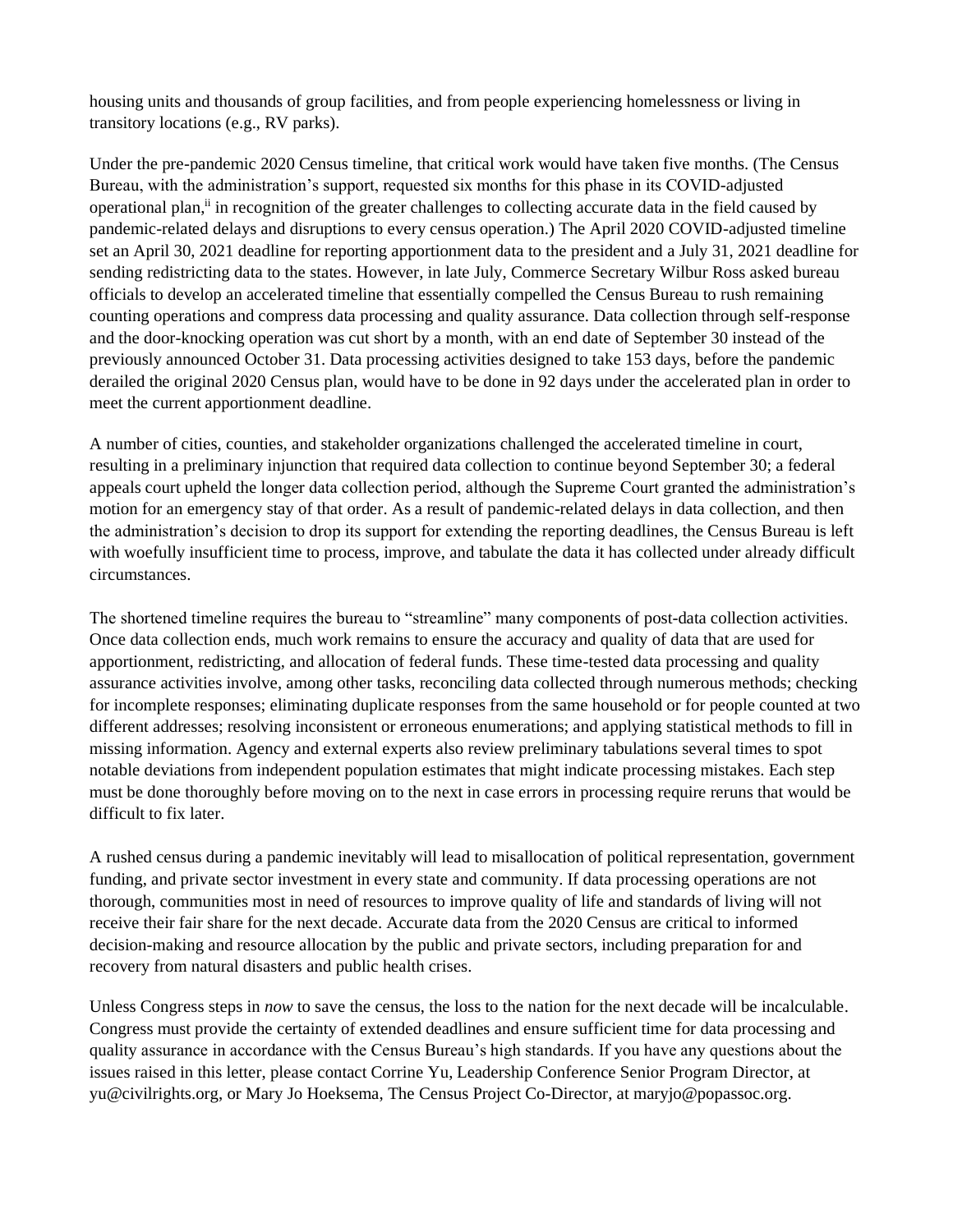housing units and thousands of group facilities, and from people experiencing homelessness or living in transitory locations (e.g., RV parks).

Under the pre-pandemic 2020 Census timeline, that critical work would have taken five months. (The Census Bureau, with the administration's support, requested six months for this phase in its COVID-adjusted operational plan,<sup>ii</sup> in recognition of the greater challenges to collecting accurate data in the field caused by pandemic-related delays and disruptions to every census operation.) The April 2020 COVID-adjusted timeline set an April 30, 2021 deadline for reporting apportionment data to the president and a July 31, 2021 deadline for sending redistricting data to the states. However, in late July, Commerce Secretary Wilbur Ross asked bureau officials to develop an accelerated timeline that essentially compelled the Census Bureau to rush remaining counting operations and compress data processing and quality assurance. Data collection through self-response and the door-knocking operation was cut short by a month, with an end date of September 30 instead of the previously announced October 31. Data processing activities designed to take 153 days, before the pandemic derailed the original 2020 Census plan, would have to be done in 92 days under the accelerated plan in order to meet the current apportionment deadline.

A number of cities, counties, and stakeholder organizations challenged the accelerated timeline in court, resulting in a preliminary injunction that required data collection to continue beyond September 30; a federal appeals court upheld the longer data collection period, although the Supreme Court granted the administration's motion for an emergency stay of that order. As a result of pandemic-related delays in data collection, and then the administration's decision to drop its support for extending the reporting deadlines, the Census Bureau is left with woefully insufficient time to process, improve, and tabulate the data it has collected under already difficult circumstances.

The shortened timeline requires the bureau to "streamline" many components of post-data collection activities. Once data collection ends, much work remains to ensure the accuracy and quality of data that are used for apportionment, redistricting, and allocation of federal funds. These time-tested data processing and quality assurance activities involve, among other tasks, reconciling data collected through numerous methods; checking for incomplete responses; eliminating duplicate responses from the same household or for people counted at two different addresses; resolving inconsistent or erroneous enumerations; and applying statistical methods to fill in missing information. Agency and external experts also review preliminary tabulations several times to spot notable deviations from independent population estimates that might indicate processing mistakes. Each step must be done thoroughly before moving on to the next in case errors in processing require reruns that would be difficult to fix later.

A rushed census during a pandemic inevitably will lead to misallocation of political representation, government funding, and private sector investment in every state and community. If data processing operations are not thorough, communities most in need of resources to improve quality of life and standards of living will not receive their fair share for the next decade. Accurate data from the 2020 Census are critical to informed decision-making and resource allocation by the public and private sectors, including preparation for and recovery from natural disasters and public health crises.

Unless Congress steps in *now* to save the census, the loss to the nation for the next decade will be incalculable. Congress must provide the certainty of extended deadlines and ensure sufficient time for data processing and quality assurance in accordance with the Census Bureau's high standards. If you have any questions about the issues raised in this letter, please contact Corrine Yu, Leadership Conference Senior Program Director, at yu@civilrights.org, or Mary Jo Hoeksema, The Census Project Co-Director, at maryjo@popassoc.org.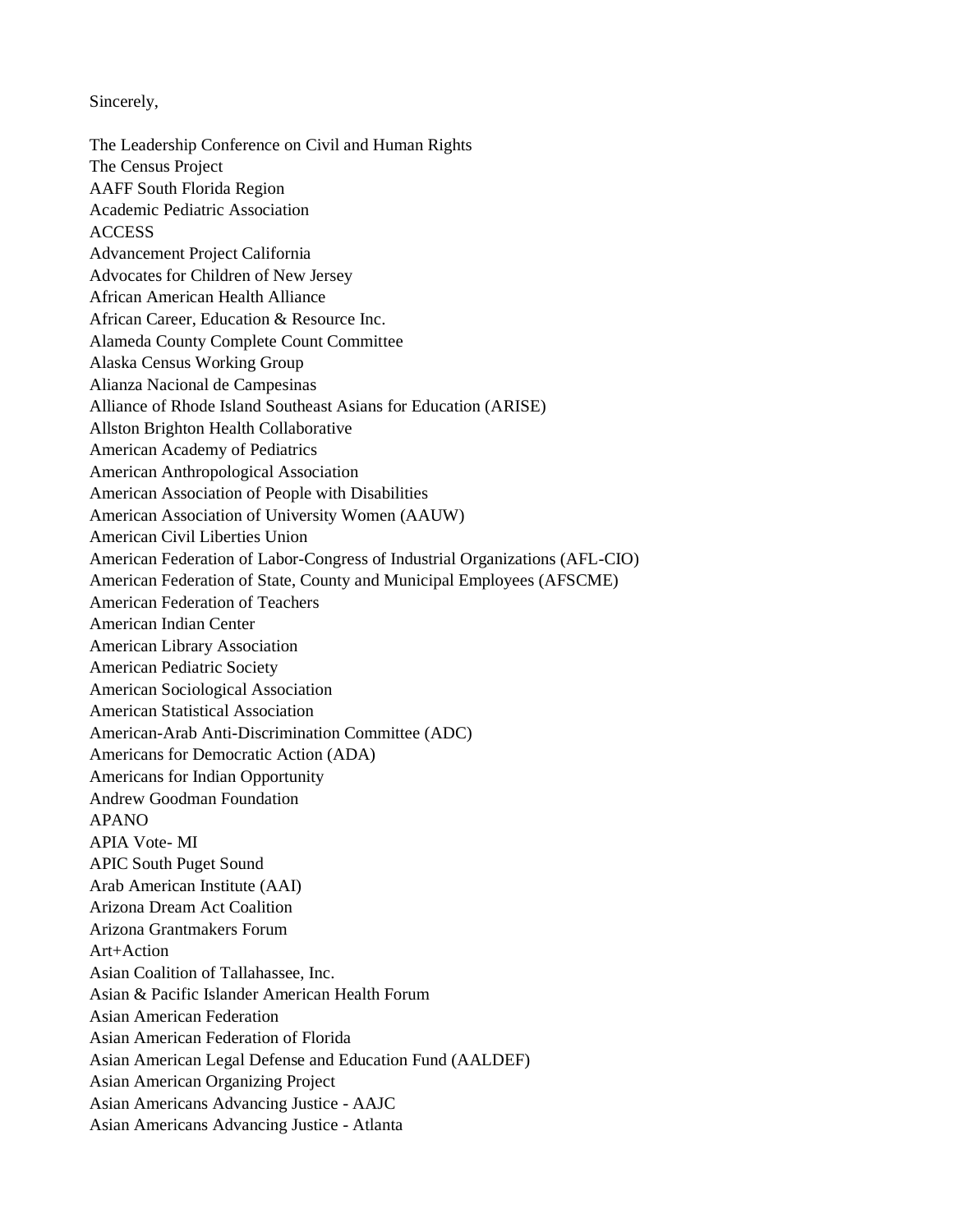Sincerely,

The Leadership Conference on Civil and Human Rights The Census Project AAFF South Florida Region Academic Pediatric Association ACCESS Advancement Project California Advocates for Children of New Jersey African American Health Alliance African Career, Education & Resource Inc. Alameda County Complete Count Committee Alaska Census Working Group Alianza Nacional de Campesinas Alliance of Rhode Island Southeast Asians for Education (ARISE) Allston Brighton Health Collaborative American Academy of Pediatrics American Anthropological Association American Association of People with Disabilities American Association of University Women (AAUW) American Civil Liberties Union American Federation of Labor-Congress of Industrial Organizations (AFL-CIO) American Federation of State, County and Municipal Employees (AFSCME) American Federation of Teachers American Indian Center American Library Association American Pediatric Society American Sociological Association American Statistical Association American-Arab Anti-Discrimination Committee (ADC) Americans for Democratic Action (ADA) Americans for Indian Opportunity Andrew Goodman Foundation APANO APIA Vote- MI APIC South Puget Sound Arab American Institute (AAI) Arizona Dream Act Coalition Arizona Grantmakers Forum Art+Action Asian Coalition of Tallahassee, Inc. Asian & Pacific Islander American Health Forum Asian American Federation Asian American Federation of Florida Asian American Legal Defense and Education Fund (AALDEF) Asian American Organizing Project Asian Americans Advancing Justice - AAJC Asian Americans Advancing Justice - Atlanta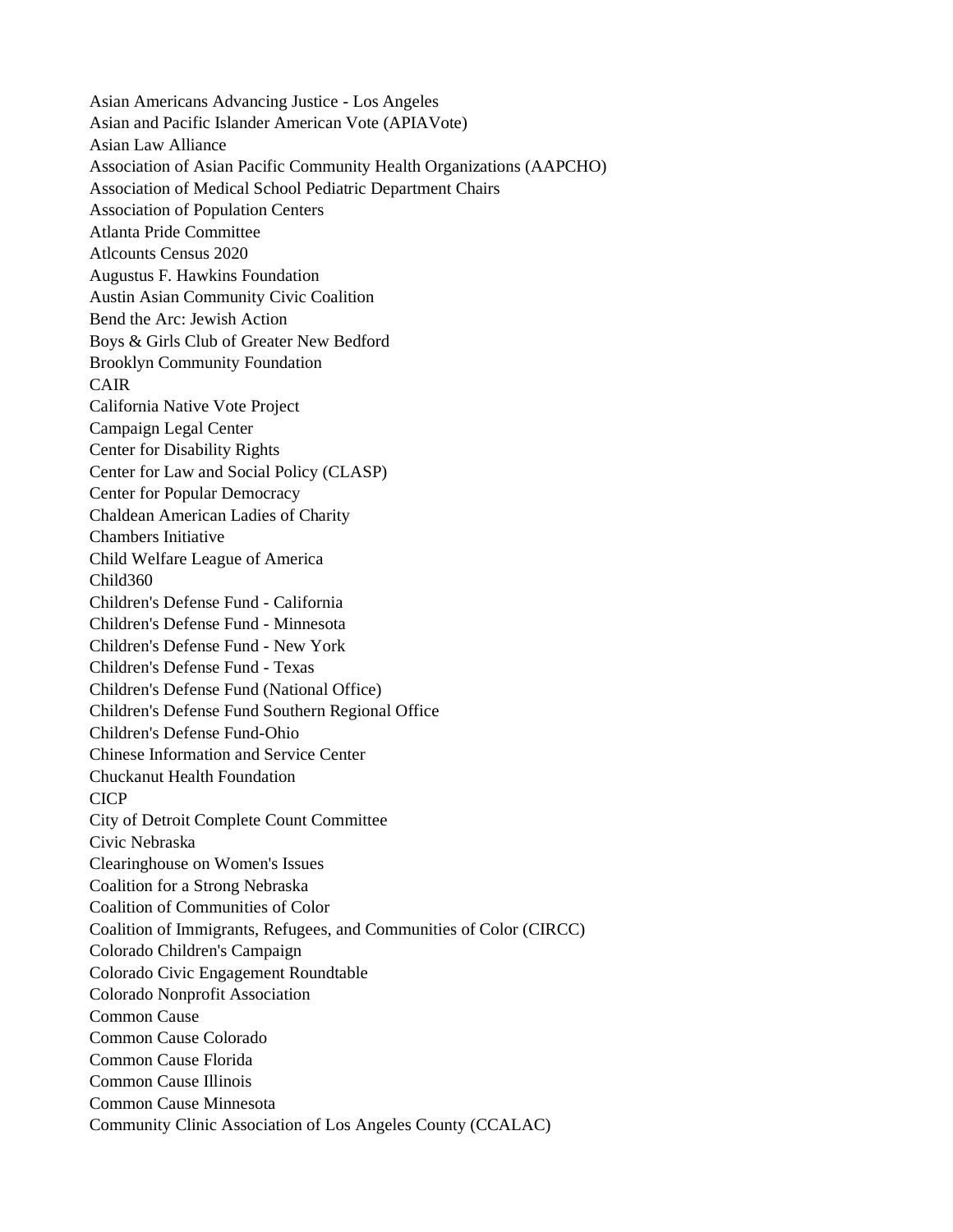Asian Americans Advancing Justice - Los Angeles Asian and Pacific Islander American Vote (APIAVote) Asian Law Alliance Association of Asian Pacific Community Health Organizations (AAPCHO) Association of Medical School Pediatric Department Chairs Association of Population Centers Atlanta Pride Committee Atlcounts Census 2020 Augustus F. Hawkins Foundation Austin Asian Community Civic Coalition Bend the Arc: Jewish Action Boys & Girls Club of Greater New Bedford Brooklyn Community Foundation CAIR California Native Vote Project Campaign Legal Center Center for Disability Rights Center for Law and Social Policy (CLASP) Center for Popular Democracy Chaldean American Ladies of Charity Chambers Initiative Child Welfare League of America Child360 Children's Defense Fund - California Children's Defense Fund - Minnesota Children's Defense Fund - New York Children's Defense Fund - Texas Children's Defense Fund (National Office) Children's Defense Fund Southern Regional Office Children's Defense Fund-Ohio Chinese Information and Service Center Chuckanut Health Foundation CICP City of Detroit Complete Count Committee Civic Nebraska Clearinghouse on Women's Issues Coalition for a Strong Nebraska Coalition of Communities of Color Coalition of Immigrants, Refugees, and Communities of Color (CIRCC) Colorado Children's Campaign Colorado Civic Engagement Roundtable Colorado Nonprofit Association Common Cause Common Cause Colorado Common Cause Florida Common Cause Illinois Common Cause Minnesota Community Clinic Association of Los Angeles County (CCALAC)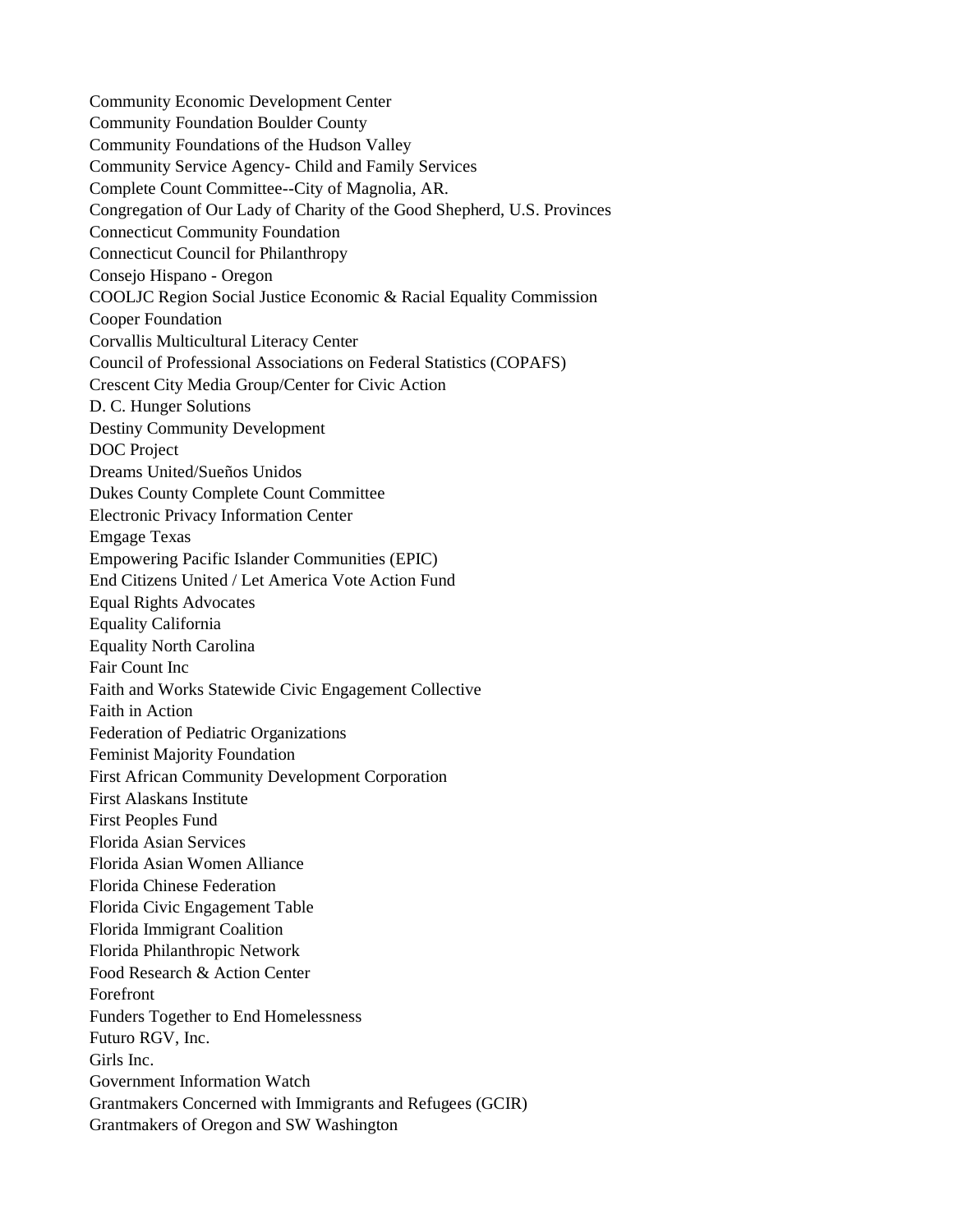Community Economic Development Center Community Foundation Boulder County Community Foundations of the Hudson Valley Community Service Agency- Child and Family Services Complete Count Committee--City of Magnolia, AR. Congregation of Our Lady of Charity of the Good Shepherd, U.S. Provinces Connecticut Community Foundation Connecticut Council for Philanthropy Consejo Hispano - Oregon COOLJC Region Social Justice Economic & Racial Equality Commission Cooper Foundation Corvallis Multicultural Literacy Center Council of Professional Associations on Federal Statistics (COPAFS) Crescent City Media Group/Center for Civic Action D. C. Hunger Solutions Destiny Community Development DOC Project Dreams United/Sueños Unidos Dukes County Complete Count Committee Electronic Privacy Information Center Emgage Texas Empowering Pacific Islander Communities (EPIC) End Citizens United / Let America Vote Action Fund Equal Rights Advocates Equality California Equality North Carolina Fair Count Inc Faith and Works Statewide Civic Engagement Collective Faith in Action Federation of Pediatric Organizations Feminist Majority Foundation First African Community Development Corporation First Alaskans Institute First Peoples Fund Florida Asian Services Florida Asian Women Alliance Florida Chinese Federation Florida Civic Engagement Table Florida Immigrant Coalition Florida Philanthropic Network Food Research & Action Center Forefront Funders Together to End Homelessness Futuro RGV, Inc. Girls Inc. Government Information Watch Grantmakers Concerned with Immigrants and Refugees (GCIR) Grantmakers of Oregon and SW Washington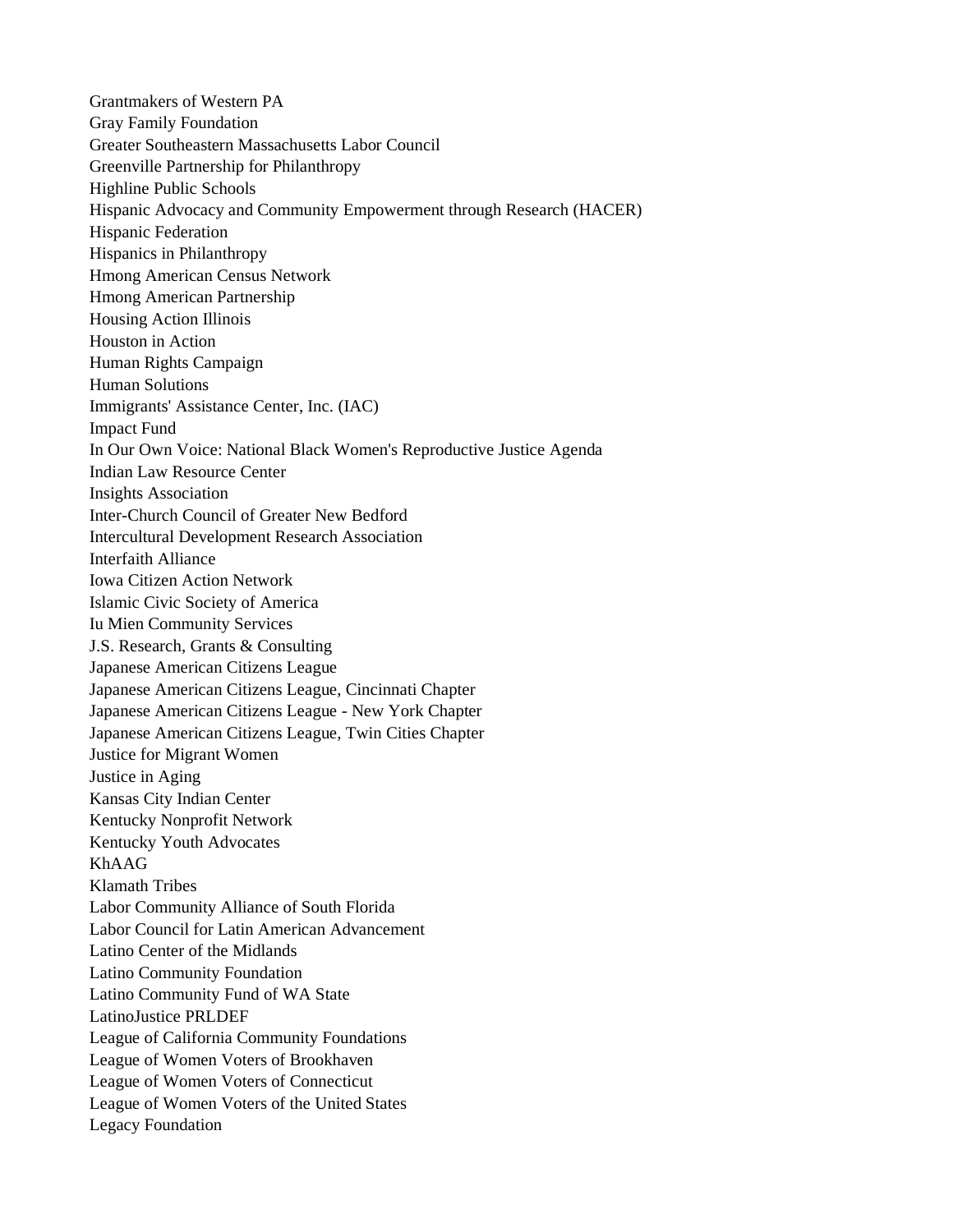Grantmakers of Western PA Gray Family Foundation Greater Southeastern Massachusetts Labor Council Greenville Partnership for Philanthropy Highline Public Schools Hispanic Advocacy and Community Empowerment through Research (HACER) Hispanic Federation Hispanics in Philanthropy Hmong American Census Network Hmong American Partnership Housing Action Illinois Houston in Action Human Rights Campaign Human Solutions Immigrants' Assistance Center, Inc. (IAC) Impact Fund In Our Own Voice: National Black Women's Reproductive Justice Agenda Indian Law Resource Center Insights Association Inter-Church Council of Greater New Bedford Intercultural Development Research Association Interfaith Alliance Iowa Citizen Action Network Islamic Civic Society of America Iu Mien Community Services J.S. Research, Grants & Consulting Japanese American Citizens League Japanese American Citizens League, Cincinnati Chapter Japanese American Citizens League - New York Chapter Japanese American Citizens League, Twin Cities Chapter Justice for Migrant Women Justice in Aging Kansas City Indian Center Kentucky Nonprofit Network Kentucky Youth Advocates KhAAG Klamath Tribes Labor Community Alliance of South Florida Labor Council for Latin American Advancement Latino Center of the Midlands Latino Community Foundation Latino Community Fund of WA State LatinoJustice PRLDEF League of California Community Foundations League of Women Voters of Brookhaven League of Women Voters of Connecticut League of Women Voters of the United States Legacy Foundation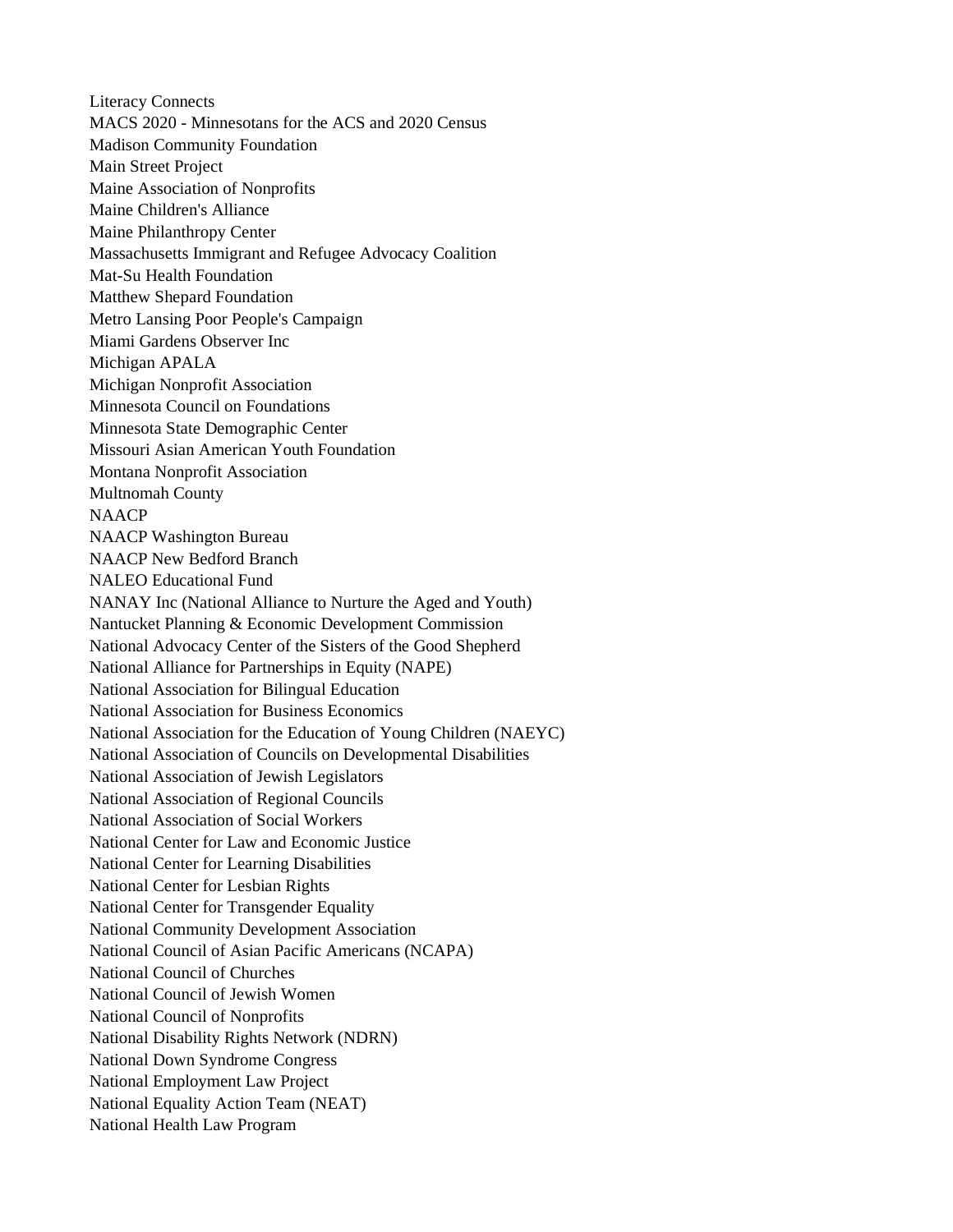Literacy Connects MACS 2020 - Minnesotans for the ACS and 2020 Census Madison Community Foundation Main Street Project Maine Association of Nonprofits Maine Children's Alliance Maine Philanthropy Center Massachusetts Immigrant and Refugee Advocacy Coalition Mat-Su Health Foundation Matthew Shepard Foundation Metro Lansing Poor People's Campaign Miami Gardens Observer Inc Michigan APALA Michigan Nonprofit Association Minnesota Council on Foundations Minnesota State Demographic Center Missouri Asian American Youth Foundation Montana Nonprofit Association Multnomah County **NAACP** NAACP Washington Bureau NAACP New Bedford Branch NALEO Educational Fund NANAY Inc (National Alliance to Nurture the Aged and Youth) Nantucket Planning & Economic Development Commission National Advocacy Center of the Sisters of the Good Shepherd National Alliance for Partnerships in Equity (NAPE) National Association for Bilingual Education National Association for Business Economics National Association for the Education of Young Children (NAEYC) National Association of Councils on Developmental Disabilities National Association of Jewish Legislators National Association of Regional Councils National Association of Social Workers National Center for Law and Economic Justice National Center for Learning Disabilities National Center for Lesbian Rights National Center for Transgender Equality National Community Development Association National Council of Asian Pacific Americans (NCAPA) National Council of Churches National Council of Jewish Women National Council of Nonprofits National Disability Rights Network (NDRN) National Down Syndrome Congress National Employment Law Project National Equality Action Team (NEAT) National Health Law Program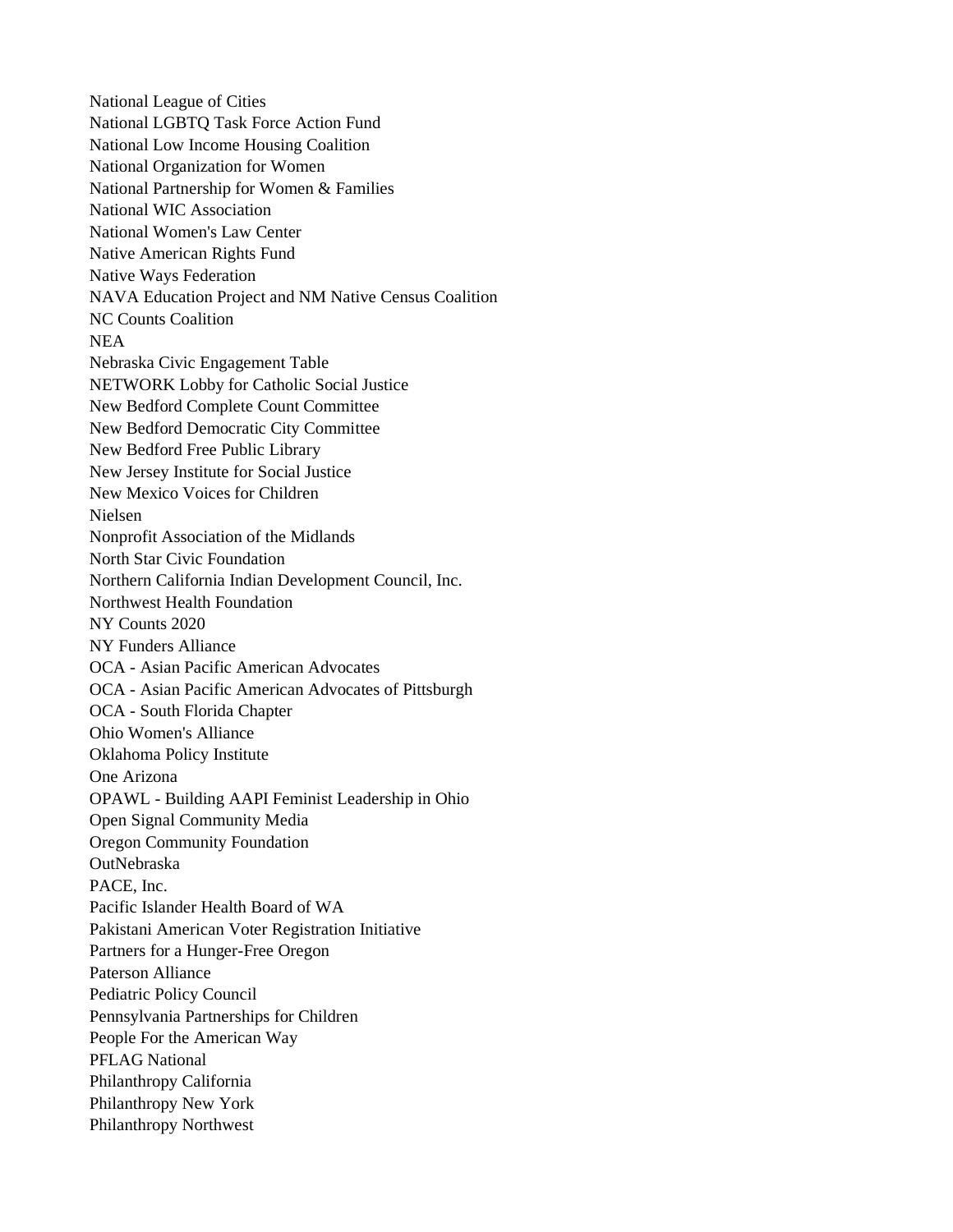National League of Cities National LGBTQ Task Force Action Fund National Low Income Housing Coalition National Organization for Women National Partnership for Women & Families National WIC Association National Women's Law Center Native American Rights Fund Native Ways Federation NAVA Education Project and NM Native Census Coalition NC Counts Coalition NEA Nebraska Civic Engagement Table NETWORK Lobby for Catholic Social Justice New Bedford Complete Count Committee New Bedford Democratic City Committee New Bedford Free Public Library New Jersey Institute for Social Justice New Mexico Voices for Children Nielsen Nonprofit Association of the Midlands North Star Civic Foundation Northern California Indian Development Council, Inc. Northwest Health Foundation NY Counts 2020 NY Funders Alliance OCA - Asian Pacific American Advocates OCA - Asian Pacific American Advocates of Pittsburgh OCA - South Florida Chapter Ohio Women's Alliance Oklahoma Policy Institute One Arizona OPAWL - Building AAPI Feminist Leadership in Ohio Open Signal Community Media Oregon Community Foundation OutNebraska PACE, Inc. Pacific Islander Health Board of WA Pakistani American Voter Registration Initiative Partners for a Hunger-Free Oregon Paterson Alliance Pediatric Policy Council Pennsylvania Partnerships for Children People For the American Way PFLAG National Philanthropy California Philanthropy New York Philanthropy Northwest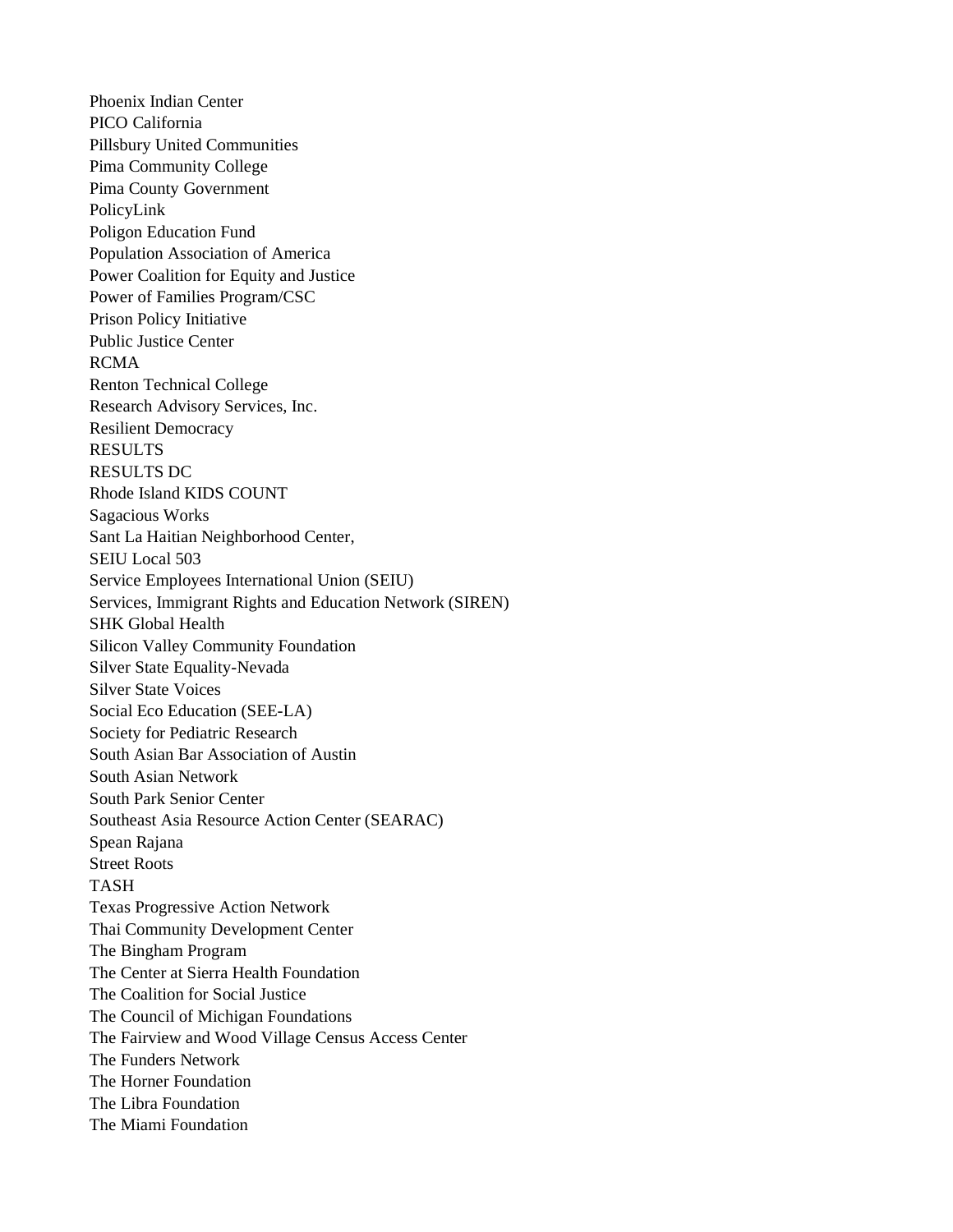Phoenix Indian Center PICO California Pillsbury United Communities Pima Community College Pima County Government PolicyLink Poligon Education Fund Population Association of America Power Coalition for Equity and Justice Power of Families Program/CSC Prison Policy Initiative Public Justice Center RCMA Renton Technical College Research Advisory Services, Inc. Resilient Democracy RESULTS RESULTS DC Rhode Island KIDS COUNT Sagacious Works Sant La Haitian Neighborhood Center, SEIU Local 503 Service Employees International Union (SEIU) Services, Immigrant Rights and Education Network (SIREN) SHK Global Health Silicon Valley Community Foundation Silver State Equality-Nevada Silver State Voices Social Eco Education (SEE-LA) Society for Pediatric Research South Asian Bar Association of Austin South Asian Network South Park Senior Center Southeast Asia Resource Action Center (SEARAC) Spean Rajana Street Roots TASH Texas Progressive Action Network Thai Community Development Center The Bingham Program The Center at Sierra Health Foundation The Coalition for Social Justice The Council of Michigan Foundations The Fairview and Wood Village Census Access Center The Funders Network The Horner Foundation The Libra Foundation The Miami Foundation